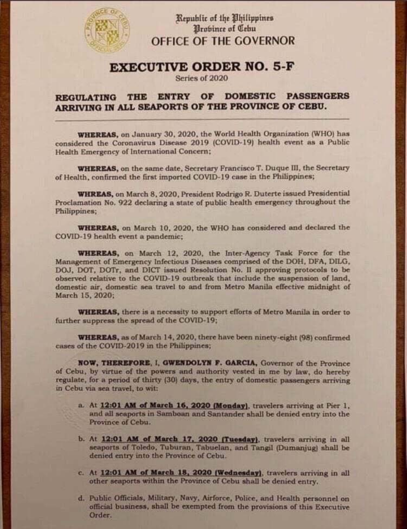

Republic of the Philippines *Urobince* of *Cebu* OFFICE OF THE GOVERNOR

## **EXECUTIVE ORDER NO. 5-F**

Series of 2020

## **ENTRY OF DOMESTIC PASSENGERS THE REGULATING** ARRIVING IN ALL SEAPORTS OF THE PROVINCE OF CEBU.

WHEREAS, on January 30, 2020, the World Health Organization (WHO) has considered the Coronavirus Disease 2019 (COVID-19) health event as a Public **Health Emergency of International Concern:** 

WHEREAS, on the same date, Secretary Francisco T. Duque III, the Secretary of Health, confirmed the first imported COVID-19 case in the Philippines;

WHREAS, on March 8, 2020, President Rodrigo R. Duterte issued Presidential Proclamation No. 922 declaring a state of public health emergency throughout the Philippines;

WHEREAS, on March 10, 2020, the WHO has considered and declared the COVID-19 health event a pandemic;

WHEREAS, on March 12, 2020, the Inter-Agency Task Force for the Management of Emergency Infectious Diseases comprised of the DOH, DFA, DILG, DOJ, DOT, DOTr, and DICT issued Resolution No. II approving protocols to be observed relative to the COVID-19 outbreak that include the suspension of land, domestic air, domestic sea travel to and from Metro Manila effective midnight of March 15, 2020;

WHEREAS, there is a necessity to support efforts of Metro Manila in order to further suppress the spread of the COVID-19;

WHEREAS, as of March 14, 2020, there have been ninety-eight (98) confirmed cases of the COVID-2019 in the Philippines;

NOW, THEREFORE, I, GWENDOLYN F. GARCIA, Governor of the Province of Cebu, by virtue of the powers and authority vested in me by law, do hereby regulate, for a period of thirty (30) days, the entry of domestic passengers arriving in Cebu via sea travel, to wit:

- a. At 12:01 AM of March 16, 2020 (Monday), travelers arriving at Pier 1, and all seaports in Samboan and Santander shall be denied entry into the Province of Cebu.
- b. At 12:01 AM of March 17, 2020 (Tuesday), travelers arriving in all scaports of Toledo, Tuburan, Tabuelan, and Tangil (Dumaniug) shall be denied entry into the Province of Cebu.
- c. At 12:01 AM of March 18, 2020 (Wednesday), travelers arriving in all other seaports within the Province of Cebu shall be denied entry.
- d. Public Officials, Military, Navy, Airforce, Police, and Health personnel on official business, shall be exempted from the provisions of this Executive Order.